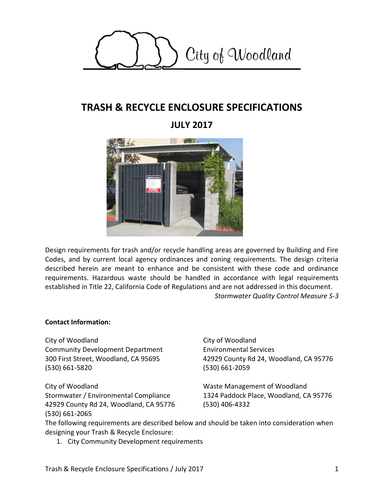

# **TRASH & RECYCLE ENCLOSURE SPECIFICATIONS**

## **JULY 2017**



Design requirements for trash and/or recycle handling areas are governed by Building and Fire Codes, and by current local agency ordinances and zoning requirements. The design criteria described herein are meant to enhance and be consistent with these code and ordinance requirements. Hazardous waste should be handled in accordance with legal requirements established in Title 22, California Code of Regulations and are not addressed in this document. *Stormwater Quality Control Measure S-3*

#### **Contact Information:**

City of Woodland Community Development Department 300 First Street, Woodland, CA 95695 (530) 661-5820

City of Woodland Stormwater / Environmental Compliance 42929 County Rd 24, Woodland, CA 95776 (530) 661-2065

City of Woodland Environmental Services 42929 County Rd 24, Woodland, CA 95776 (530) 661-2059

Waste Management of Woodland 1324 Paddock Place, Woodland, CA 95776 (530) 406-4332

The following requirements are described below and should be taken into consideration when designing your Trash & Recycle Enclosure:

1. City Community Development requirements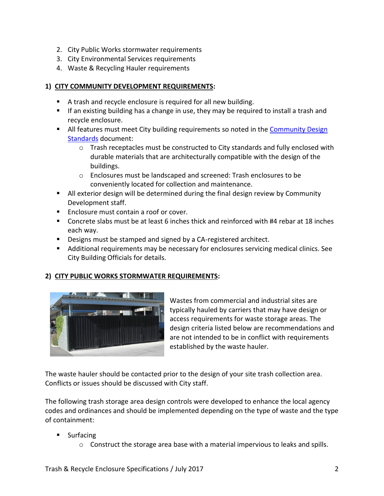- 2. City Public Works stormwater requirements
- 3. City Environmental Services requirements
- 4. Waste & Recycling Hauler requirements

#### **1) CITY COMMUNITY DEVELOPMENT REQUIREMENTS:**

- A trash and recycle enclosure is required for all new building.
- If an existing building has a change in use, they may be required to install a trash and recycle enclosure.
- All features must meet City building requirements so noted in the Community Design [Standards](http://www.cityofwoodland.org/gov/depts/cd/divisions/planning/online/community_design_standards.asp) document:
	- o Trash receptacles must be constructed to City standards and fully enclosed with durable materials that are architecturally compatible with the design of the buildings.
	- o Enclosures must be landscaped and screened: Trash enclosures to be conveniently located for collection and maintenance.
- All exterior design will be determined during the final design review by Community Development staff.
- **Enclosure must contain a roof or cover.**
- Concrete slabs must be at least 6 inches thick and reinforced with #4 rebar at 18 inches each way.
- Designs must be stamped and signed by a CA-registered architect.
- Additional requirements may be necessary for enclosures servicing medical clinics. See City Building Officials for details.

### **2) CITY PUBLIC WORKS STORMWATER REQUIREMENTS:**



Wastes from commercial and industrial sites are typically hauled by carriers that may have design or access requirements for waste storage areas. The design criteria listed below are recommendations and are not intended to be in conflict with requirements established by the waste hauler.

The waste hauler should be contacted prior to the design of your site trash collection area. Conflicts or issues should be discussed with City staff.

The following trash storage area design controls were developed to enhance the local agency codes and ordinances and should be implemented depending on the type of waste and the type of containment:

- Surfacing
	- o Construct the storage area base with a material impervious to leaks and spills.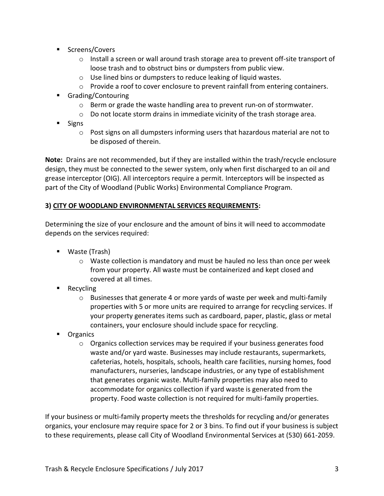- Screens/Covers
	- $\circ$  Install a screen or wall around trash storage area to prevent off-site transport of loose trash and to obstruct bins or dumpsters from public view.
	- o Use lined bins or dumpsters to reduce leaking of liquid wastes.
	- $\circ$  Provide a roof to cover enclosure to prevent rainfall from entering containers.
- Grading/Contouring
	- o Berm or grade the waste handling area to prevent run-on of stormwater.
	- $\circ$  Do not locate storm drains in immediate vicinity of the trash storage area.
- Signs
	- $\circ$  Post signs on all dumpsters informing users that hazardous material are not to be disposed of therein.

**Note:** Drains are not recommended, but if they are installed within the trash/recycle enclosure design, they must be connected to the sewer system, only when first discharged to an oil and grease interceptor (OIG). All interceptors require a permit. Interceptors will be inspected as part of the City of Woodland (Public Works) Environmental Compliance Program.

#### **3) CITY OF WOODLAND ENVIRONMENTAL SERVICES REQUIREMENTS:**

Determining the size of your enclosure and the amount of bins it will need to accommodate depends on the services required:

- Waste (Trash)
	- $\circ$  Waste collection is mandatory and must be hauled no less than once per week from your property. All waste must be containerized and kept closed and covered at all times.
- **Recycling** 
	- $\circ$  Businesses that generate 4 or more yards of waste per week and multi-family properties with 5 or more units are required to arrange for recycling services. If your property generates items such as cardboard, paper, plastic, glass or metal containers, your enclosure should include space for recycling.
- **Depandics** 
	- $\circ$  Organics collection services may be required if your business generates food waste and/or yard waste. Businesses may include restaurants, supermarkets, cafeterias, hotels, hospitals, schools, health care facilities, nursing homes, food manufacturers, nurseries, landscape industries, or any type of establishment that generates organic waste. Multi-family properties may also need to accommodate for organics collection if yard waste is generated from the property. Food waste collection is not required for multi-family properties.

If your business or multi-family property meets the thresholds for recycling and/or generates organics, your enclosure may require space for 2 or 3 bins. To find out if your business is subject to these requirements, please call City of Woodland Environmental Services at (530) 661-2059.